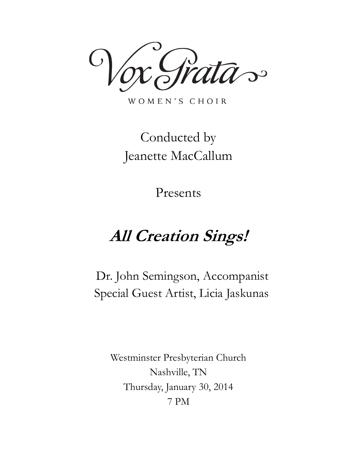$\mathbf{C}$ 

WOMEN'S CHOIR

# Conducted by Jeanette MacCallum

Presents

# **All Creation Sings!**

Dr. John Semingson, Accompanist Special Guest Artist, Licia Jaskunas

Westminster Presbyterian Church Nashville, TN Thursday, January 30, 2014 7 PM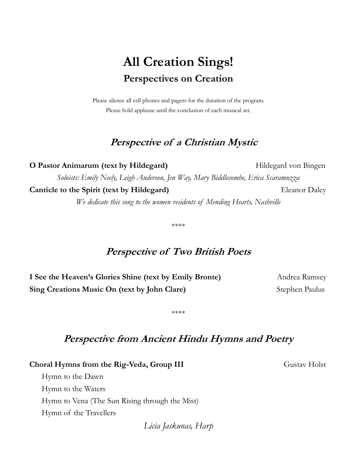## **All Creation Sings! Perspectives on Creation**

Please silence all cell phones and pagers for the duration of the program. Please hold applause until the conclusion of each musical set.

## **Perspective of a Christian Mystic**

**O Pastor Animarum (text by Hildegard)** Hildegard von Bingen *Soloists: Emily Neely, Leigh Anderson, Jen Way, Mary Biddlecombe, Erica Scaramuzza* **Canticle to the Spirit (text by Hildegard)** Eleanor Daley *We dedicate this song to the women residents of Mending Hearts, Nashville*

\*\*\*\*

## **Perspective of Two British Poets**

**I See the Heaven's Glories Shine (text by Emily Bronte)** Andrea Ramsey **Sing Creations Music On (text by John Clare)** Stephen Paulus

\*\*\*\*

## **Perspective from Ancient Hindu Hymns and Poetry**

**Choral Hymns from the Rig-Veda, Group III** Gustav Holst

 Hymn to the Dawn Hymn to the Waters Hymn to Vena (The Sun Rising through the Mist) Hymn of the Travellers

*Licia Jaskunas, Harp*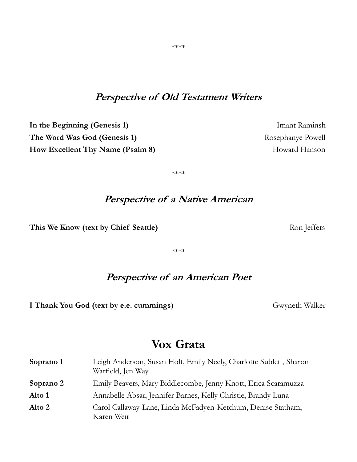## **Perspective of Old Testament Writers**

**In the Beginning (Genesis 1)** Imant Raminsh **The Word Was God (Genesis 1)** Rosephanye Powell **How Excellent Thy Name (Psalm 8) Howard Hanson** 

\*\*\*\*

## **Perspective of a Native American**

This We Know (text by Chief Seattle) **Ron** Jeffers **Ron** Jeffers

\*\*\*\*

## **Perspective of an American Poet**

**I Thank You God (text by e.e. cummings)** Gwyneth Walker

## **Vox Grata**

| Soprano 1 | Leigh Anderson, Susan Holt, Emily Neely, Charlotte Sublett, Sharon<br>Warfield, Jen Way |
|-----------|-----------------------------------------------------------------------------------------|
| Soprano 2 | Emily Beavers, Mary Biddlecombe, Jenny Knott, Erica Scaramuzza                          |
| Alto 1    | Annabelle Absar, Jennifer Barnes, Kelly Christie, Brandy Luna                           |
| Alto 2    | Carol Callaway-Lane, Linda McFadyen-Ketchum, Denise Statham,<br>Karen Weir              |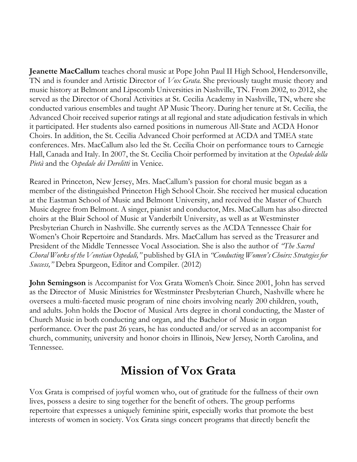**Jeanette MacCallum** teaches choral music at Pope John Paul II High School, Hendersonville, TN and is founder and Artistic Director of *Vox Grata.* She previously taught music theory and music history at Belmont and Lipscomb Universities in Nashville, TN. From 2002, to 2012, she served as the Director of Choral Activities at St. Cecilia Academy in Nashville, TN, where she conducted various ensembles and taught AP Music Theory. During her tenure at St. Cecilia, the Advanced Choir received superior ratings at all regional and state adjudication festivals in which it participated. Her students also earned positions in numerous All-State and ACDA Honor Choirs. In addition, the St. Cecilia Advanced Choir performed at ACDA and TMEA state conferences. Mrs. MacCallum also led the St. Cecilia Choir on performance tours to Carnegie Hall, Canada and Italy. In 2007, the St. Cecilia Choir performed by invitation at the *Ospedale della Pietà* and the *Ospedale dei Derelitti* in Venice.

Reared in Princeton, New Jersey, Mrs. MacCallum's passion for choral music began as a member of the distinguished Princeton High School Choir. She received her musical education at the Eastman School of Music and Belmont University, and received the Master of Church Music degree from Belmont. A singer, pianist and conductor, Mrs. MacCallum has also directed choirs at the Blair School of Music at Vanderbilt University, as well as at Westminster Presbyterian Church in Nashville. She currently serves as the ACDA Tennessee Chair for Women's Choir Repertoire and Standards. Mrs. MacCallum has served as the Treasurer and President of the Middle Tennessee Vocal Association. She is also the author of *"The Sacred Choral Works of the Venetian Ospedali,"* published by GIA in *"Conducting Women's Choirs: Strategies for Success,"* Debra Spurgeon, Editor and Compiler. (2012)

**John Semingson** is Accompanist for Vox Grata Women's Choir. Since 2001, John has served as the Director of Music Ministries for Westminster Presbyterian Church, Nashville where he oversees a multi-faceted music program of nine choirs involving nearly 200 children, youth, and adults. John holds the Doctor of Musical Arts degree in choral conducting, the Master of Church Music in both conducting and organ, and the Bachelor of Music in organ performance. Over the past 26 years, he has conducted and/or served as an accompanist for church, community, university and honor choirs in Illinois, New Jersey, North Carolina, and Tennessee.

## **Mission of Vox Grata**

Vox Grata is comprised of joyful women who, out of gratitude for the fullness of their own lives, possess a desire to sing together for the benefit of others. The group performs repertoire that expresses a uniquely feminine spirit, especially works that promote the best interests of women in society. Vox Grata sings concert programs that directly benefit the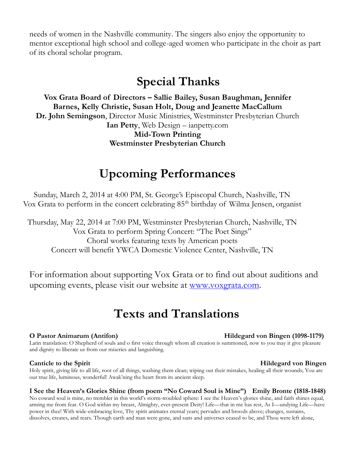needs of women in the Nashville community. The singers also enjoy the opportunity to mentor exceptional high school and college-aged women who participate in the choir as part of its choral scholar program.

## **Special Thanks**

**Vox Grata Board of Directors – Sallie Bailey, Susan Baughman, Jennifer Barnes, Kelly Christie, Susan Holt, Doug and Jeanette MacCallum Dr. John Semingson**, Director Music Ministries, Westminster Presbyterian Church **Ian Petty**, Web Design – ianpetty.com **Mid-Town Printing Westminster Presbyterian Church**

## **Upcoming Performances**

Sunday, March 2, 2014 at 4:00 PM, St. George's Episcopal Church, Nashville, TN Vox Grata to perform in the concert celebrating  $85<sup>th</sup>$  birthday of Wilma Jensen, organist

Thursday, May 22, 2014 at 7:00 PM, Westminster Presbyterian Church, Nashville, TN Vox Grata to perform Spring Concert: "The Poet Sings" Choral works featuring texts by American poets Concert will benefit YWCA Domestic Violence Center, Nashville, TN

For information about supporting Vox Grata or to find out about auditions and upcoming events, please visit our website at [www.voxgrata.com.](http://www.voxgrata.com/)

## **Texts and Translations**

### **O Pastor Animarum (Antifon) Hildegard von Bingen (1098-1179)**

Latin translation: O Shepherd of souls and o first voice through whom all creation is summoned, now to you may it give pleasure and dignity to liberate us from our miseries and languishing.

### **Canticle to the Spirit Hildegard von Bingen**

Holy spirit, giving life to all life, root of all things, washing them clean; wiping out their mistakes, healing all their wounds; You are our true life, luminous, wonderful! Awak'ning the heart from its ancient sleep.

### **I See the Heaven's Glories Shine (from poem "No Coward Soul is Mine") Emily Bronte (1818-1848)**

No coward soul is mine, no trembler in this world's storm-troubled sphere: I see the Heaven's glories shine, and faith shines equal, arming me from fear. O God within my breast, Almighty, ever-present Deity! Life—that in me has rest, As I—undying Life—have power in thee! With wide-embracing love, Thy spirit animates eternal years; pervades and broods above; changes, sustains, dissolves, creates, and rears. Though earth and man were gone, and suns and universes ceased to be, and Thou were left alone,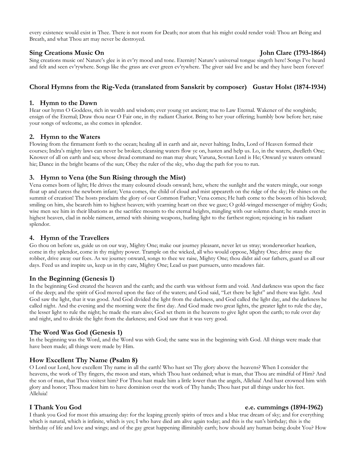every existence would exist in Thee. There is not room for Death; nor atom that his might could render void: Thou art Being and Breath, and what Thou art may never be destroyed.

### **Sing Creations Music On John Clare (1793-1864)**

Sing creations music on! Nature's glee is in ev'ry mood and tone. Eternity! Nature's universal tongue singeth here! Songs I've heard and felt and seen ev'rywhere. Songs like the grass are ever green ev'rywhere. The giver said live and be and they have been forever!

### **Choral Hymns from the Rig-Veda (translated from Sanskrit by composer) Gustav Holst (1874-1934)**

### **1. Hymn to the Dawn**

Hear our hymn O Goddess, rich in wealth and wisdom; ever young yet ancient; true to Law Eternal. Wakener of the songbirds; ensign of the Eternal; Draw thou near O Fair one, in thy radiant Chariot. Bring to her your offering; humbly bow before her; raise your songs of welcome, as she comes in splendor.

#### **2. Hymn to the Waters**

Flowing from the firmament forth to the ocean; healing all in earth and air, never halting; Indra, Lord of Heaven formed their courses; Indra's mighty laws can never be broken; cleansing waters flow ye on, hasten and help us. Lo, in the waters, dwelleth One; Knower of all on earth and sea; whose dread command no man may shun; Varuna, Sovran Lord is He; Onward ye waters onward hie; Dance in the bright beams of the sun; Obey the ruler of the sky, who dug the path for you to run.

### **3. Hymn to Vena (the Sun Rising through the Mist)**

Vena comes born of light; He drives the many coloured clouds onward; here, where the sunlight and the waters mingle, our songs float up and caress the newborn infant; Vena comes, the child of cloud and mist appeareth on the ridge of the sky; He shines on the summit of creation! The hosts proclaim the glory of our Common Father; Vena comes; He hath come to the bosom of his beloved; smiling on him, she beareth him to highest heaven; with yearning heart on thee we gaze; O gold-winged messenger of mighty Gods; wise men see him in their libations as the sacrifice mounts to the eternal heights, mingling with our solemn chant; he stands erect in highest heaven, clad in noble raiment, armed with shining weapons, hurling light to the farthest region; rejoicing in his radiant splendor.

### **4. Hymn of the Travellers**

Go thou on before us, guide us on our way, Mighty One; make our journey pleasant, never let us stray; wonderworker hearken, come in thy splendor, come in thy mighty power. Trample on the wicked, all who would oppose, Mighty One; drive away the robber, drive away our foes. As we journey onward, songs to thee we raise, Mighty One; thou didst aid our fathers, guard us all our days. Feed us and inspire us, keep us in thy care, Mighty One; Lead us past pursuers, unto meadows fair.

### **In the Beginning (Genesis 1)**

In the beginning God created the heaven and the earth; and the earth was without form and void. And darkness was upon the face of the deep; and the spirit of God moved upon the face of the waters; and God said, "Let there be light" and there was light. And God saw the light, that it was good. And God divided the light from the darkness, and God called the light day, and the darkness he called night. And the evening and the morning were the first day. And God made two great lights, the greater light to rule the day, the lesser light to rule the night; he made the stars also; God set them in the heavens to give light upon the earth; to rule over day and night, and to divide the light from the darkness; and God saw that it was very good.

### **The Word Was God (Genesis 1)**

In the beginning was the Word, and the Word was with God; the same was in the beginning with God. All things were made that have been made; all things were made by Him.

### **How Excellent Thy Name (Psalm 8)**

O Lord our Lord, how excellent Thy name in all the earth! Who hast set Thy glory above the heavens? When I consider the heavens, the work of Thy fingers, the moon and stars, which Thou hast ordained; what is man, that Thou are mindful of Him? And the son of man, that Thou visitest him? For Thou hast made him a little lower than the angels, Alleluia! And hast crowned him with glory and honor; Thou madest him to have dominion over the work of Thy hands; Thou hast put all things under his feet. Alleluia!

#### **I Thank You God e.e. cummings (1894-1962)**

I thank you God for most this amazing day: for the leaping greenly spirits of trees and a blue true dream of sky; and for everything which is natural, which is infinite, which is yes; I who have died am alive again today; and this is the sun's birthday; this is the birthday of life and love and wings; and of the gay great happening illimitably earth; how should any human being doubt You? How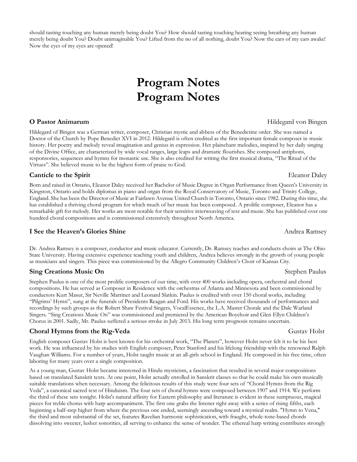should tasting touching any human merely being doubt You? How should tasting touching hearing seeing breathing any human merely being doubt You? Doubt unimaginable You? Lifted from the no of all nothing, doubt You? Now the ears of my ears awake! Now the eyes of my eyes are opened!

## **Program Notes Program Notes**

Hildegard of Bingen was a German writer, composer, Christian mystic and abbess of the Benedictine order. She was named a Doctor of the Church by Pope Benedict XVI in 2012. Hildegard is often credited as the first important female composer in music history. Her poetry and melody reveal imagination and genius in expression. Her plainchant melodies, inspired by her daily singing of the Divine Office, are characterized by wide vocal ranges, large leaps and dramatic flourishes. She composed antiphons, responsories, sequences and hymns for monastic use. She is also credited for writing the first musical drama, "The Ritual of the Virtues". She believed music to be the highest form of praise to God.

### **Canticle to the Spirit** Eleanor Daley

Born and raised in Ontario, Eleanor Daley received her Bachelor of Music Degree in Organ Performance from Queen's University in Kingston, Ontario and holds diplomas in piano and organ from the Royal Conservatory of Music, Toronto and Trinity College, England. She has been the Director of Music at Fairlawn Avenue United Church in Toronto, Ontario since 1982. During this time, she has established a thriving choral program for which much of her music has been composed. A prolific composer, Eleanor has a remarkable gift for melody. Her works are most notable for their sensitive interweaving of text and music. She has published over one hundred choral compositions and is commissioned extensively throughout North America.

### **I See the Heaven's Glories Shine** Andrea Ramsey

Dr. Andrea Ramsey is a composer, conductor and music educator. Currently, Dr. Ramsey teaches and conducts choirs at The Ohio State University. Having extensive experience teaching youth and children, Andrea believes strongly in the growth of young people as musicians and singers. This piece was commissioned by the Allegro Community Children's Choir of Kansas City.

### **Sing Creations Music On** Stephen Paulus **Stephen Paulus** Stephen Paulus Stephen Paulus

Stephen Paulus is one of the most prolific composers of our time, with over 400 works including opera, orchestral and choral compositions. He has served as Composer in Residence with the orchestras of Atlanta and Minnesota and been commissioned by conductors Kurt Masur, Sir Neville Marriner and Leonard Slatkin. Paulus is credited with over 150 choral works, including "Pilgrims' Hymn", sung at the funerals of Presidents Reagan and Ford. His works have received thousands of performances and recordings by such groups as the Robert Shaw Festival Singers, VocalEssence, the L.A. Master Chorale and the Dale Warland Singers. "Sing Creations Music On" was commissioned and premiered by the American Boychoir and Glen Ellyn Children's Chorus in 2001. Sadly, Mr. Paulus suffered a serious stroke in July 2013. His long term prognosis remains uncertain.

### **Choral Hymns from the Rig-Veda** Gustav Holst

English composer Gustav Holst is best known for his orchestral work, "The Planets", however Holst never felt it to be his best work. He was influenced by his studies with English composer, Peter Stanford and his lifelong friendship with the renowned Ralph Vaughan Williams. For a number of years, Holst taught music at an all-girls school in England. He composed in his free time, often laboring for many years over a single composition.

As a young man, Gustav Holst became interested in Hindu mysticism, a fascination that resulted in several major compositions based on translated Sanskrit texts. At one point, Holst actually enrolled in Sanskrit classes so that he could make his own musically suitable translations when necessary. Among the felicitous results of this study were four sets of "Choral Hymns from the Rig Veda", a canonical sacred text of Hinduism. The four sets of choral hymns were composed between 1907 and 1914. We perform the third of these sets tonight. Holst's natural affinity for Eastern philosophy and literature is evident in these sumptuous, magical pieces for treble chorus with harp accompaniment. The first one grabs the listener right away with a series of rising fifths, each beginning a half-step higher from where the previous one ended, seemingly ascending toward a mystical realm. "Hymn to Vena," the third and most substantial of the set, features Ravelian harmonic sophistication, with fraught, whole-tone-based chords dissolving into sweeter, lusher sonorities, all serving to enhance the sense of wonder. The ethereal harp writing contributes strongly

### **O Pastor Animarum** Hildegard von Bingen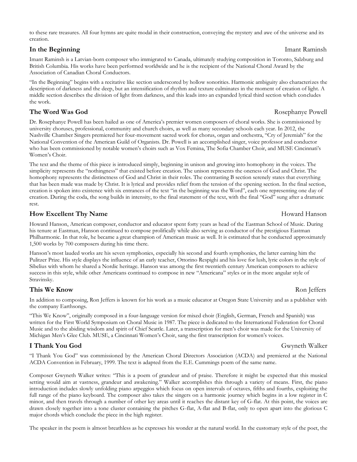to these rare treasures. All four hymns are quite modal in their construction, conveying the mystery and awe of the universe and its creation.

### **In the Beginning** Imant Raminsh

Imant Raminsh is a Latvian-born composer who immigrated to Canada, ultimately studying composition in Toronto, Salzburg and British Columbia. His works have been performed worldwide and he is the recipient of the National Choral Award by the Association of Canadian Choral Conductors.

"In the Beginning" begins with a recitative like section underscored by hollow sonorities. Harmonic ambiguity also characterizes the description of darkness and the deep, but an intensification of rhythm and texture culminates in the moment of creation of light. A middle section describes the division of light from darkness, and this leads into an expanded lyrical third section which concludes the work.

### **The Word Was God** Rosephanye Powell

Dr. Rosephanye Powell has been hailed as one of America's premier women composers of choral works. She is commissioned by university choruses, professional, community and church choirs, as well as many secondary schools each year. In 2012, the Nashville Chamber Singers premiered her four-movement sacred work for chorus, organ and orchestra, "Cry of Jeremiah" for the National Convention of the American Guild of Organists. Dr. Powell is an accomplished singer, voice professor and conductor who has been commissioned by notable women's choirs such as Vox Femina, The Sofia Chamber Choir, and MUSE Cincinnati's Women's Choir.

The text and the theme of this piece is introduced simply, beginning in unison and growing into homophony in the voices. The simplicity represents the "nothingness" that existed before creation. The unison represents the oneness of God and Christ. The homophony represents the distinctness of God and Christ in their roles. The contrasting B section serenely states that everything that has been made was made by Christ. It is lyrical and provides relief from the tension of the opening section. In the final section, creation is spoken into existence with six entrances of the text "in the beginning was the Word", each one representing one day of creation. During the coda, the song builds in intensity, to the final statement of the text, with the final "God" sung after a dramatic rest.

### **How Excellent Thy Name Howard Hanson Howard Hanson**

Howard Hanson, American composer, conductor and educator spent forty years as head of the Eastman School of Music. During his tenure at Eastman, Hanson continued to compose prolifically while also serving as conductor of the prestigious Eastman Philharmonic. In that role, he became a great champion of American music as well. It is estimated that he conducted approximately 1,500 works by 700 composers during his time there.

Hanson's most lauded works are his seven symphonies, especially his second and fourth symphonies, the latter earning him the Pulitzer Prize. His style displays the influence of an early teacher, Ottorino Respighi and his love for lush, lyric colors in the style of Sibelius with whom he shared a Nordic heritage. Hanson was among the first twentieth century American composers to achieve success in this style, while other Americans continued to compose in new "Americana" styles or in the more angular style of Stravinsky.

### **This We Know** Ron Jeffers **Ron Jeffers**

In addition to composing, Ron Jeffers is known for his work as a music educator at Oregon State University and as a publisher with the company Earthsongs.

"This We Know", originally composed in a four-language version for mixed choir (English, German, French and Spanish) was written for the First World Symposium on Choral Music in 1987. The piece is dedicated to the International Federation for Choral Music and to the abiding wisdom and spirit of Chief Seattle. Later, a transcription for men's choir was made for the University of Michigan Men's Glee Club. MUSE, a Cincinnati Women's Choir, sang the first transcription for women's voices.

### **I Thank You God** Gwyneth Walker

"I Thank You God" was commissioned by the American Choral Directors Association (ACDA) and premiered at the National ACDA Convention in February, 1999. The text is adapted from the E.E. Cummings poem of the same name.

Composer Gwyneth Walker writes: "This is a poem of grandeur and of praise. Therefore it might be expected that this musical setting would aim at vastness, grandeur and awakening." Walker accomplishes this through a variety of means. First, the piano introduction includes slowly unfolding piano arpeggios which focus on open intervals of octaves, fifths and fourths, exploiting the full range of the piano keyboard. The composer also takes the singers on a harmonic journey which begins in a low register in C minor, and then travels through a number of other key areas until it reaches the distant key of G-flat. At this point, the voices are drawn closely together into a tone cluster containing the pitches G-flat, A-flat and B-flat, only to open apart into the glorious C major chords which conclude the piece in the high register.

The speaker in the poem is almost breathless as he expresses his wonder at the natural world. In the customary style of the poet, the